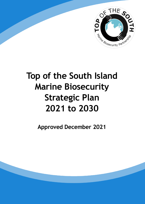

# **Top of the South Island Marine Biosecurity Strategic Plan 2021 to 2030**

**Approved December 2021**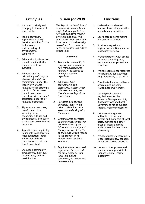#### *Principles*

- 1. Act constructively and promptly in the face of uncertainty.
- 2. Take a cautionary approach in making decisions to allow for the limits to our understanding of environmental complexity.
- 3. Take action by those best placed to act with the resources that are available.
- 4. Acknowledge the kaitiakitanga of tangata whenua iwi and Crown commitments under the Treaty of Waitangi relevant to this strategic plan in so far as these commitments are consistent with partners' obligations under their relevant legislation.
- 5. Rigorously assess costs, benefits and risks, including social, economic, cultural and environmental effects to enable best use of limited resources.
- 6. Apportion costs equitably taking into consideration legal obligations, roles and responsibilities, contribution to risk, and benefit received.
- 7. Encourage community involvement, individual responsibility and full participation.

#### *Vision for 2030*

*The Top of the South Island marine environment is not subjected to impacts from new and damaging marine pests and diseases. This contributes to broader aims to restore rich and healthy ecosystems to sustain the needs of present and future generations.*

#### *Outcomes*

- *1. The whole community is cooperating to minimise new introductions and minimise the spread of damaging marine organisms.*
- *2. All parties have confidence in the biosecurity system which addresses marine pest threats in the Top of the South Island.*
- *3. Partnerships between agencies, industry and other stakeholders are effective in dealing with the issues.*
- *4. Demonstrated successes of the biosecurity system are celebrated by an informed community and the reputation of the Top of the South as the "jewel in the crown" of Te Waipounamu has been enhanced.*
- 5. *Regulation has been used appropriately to provide for biosecurity bottom lines and ensure consistency in actions and understanding.*

#### *Functions*

- 1. Undertake coordinated marine biosecurity education and advocacy activities.
- 2. Coordinate regional marine biosecurity activities.
- 3. Provide integration of regional with national marine biosecurity systems.
- 4. Provide partners with access to regional intelligence, resources and organisational structures.
- 5. Provide operational resources for nationally-led activities (e.g. personnel, boats, etc).
- 6. Coordinate local surveillance programmes including stakeholder involvement.
- 7. Use regional powers of regulation under the Resource Management Act, Biosecurity Act and Local Government Act to support regional marine biosecurity.
- 8. Use asset management authorities of partners as owners and managers of local ports, marinas and other areas of intense marine activity to enhance marine biosecurity.
- 9. Provides funding according to legal responsibility, capacity to pay and agreed priorities.
- 10. Use such other powers and resources as appropriate to support regional marine biosecurity.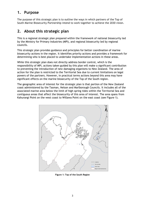### **1. Purpose**

The purpose of this strategic plan is to outline the ways in which partners of the Top of South Marine Biosecurity Partnership intend to work together to achieve the 2030 vision.

#### **2. About this strategic plan**

This is a regional strategic plan prepared within the framework of national biosecurity led by the Ministry for Primary Industries (MPI), and regional biosecurity led by regional councils.

This strategic plan provides guidance and principles for better coordination of marine biosecurity actions in the region. It identifies priority actions and provides a framework for determining who is best placed to undertake implementation actions in these areas.

While this strategic plan does not directly address border control, which is the responsibility of MPI, actions taken guided by this plan will make a significant contribution to preventing the introduction of new damaging organisms to New Zealand. The area of action for the plan is restricted to the Territorial Sea due to current limitations on legal powers of the partners. However, in practical terms actions beyond this area may have significant effects on the marine biosecurity of the Top of the South region.

The geographic area of interest for the strategic plan is that portion of the New Zealand coast administered by the Tasman, Nelson and Marlborough Councils. It includes all of the associated marine area below the limit of high spring tides within the Territorial Sea and contiguous areas that affect the biosecurity of this area of interest. The area spans from Kahurangi Point on the west coast to Willawa Point on the east coast (see Figure 1).



**Figure 1: Top of the South Region**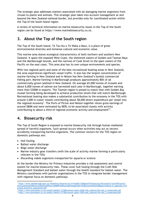The strategic plan addresses matters associated with all damaging marine organisms from viruses to plants and animals. This strategic plan takes into account management at and beyond the New Zealand national border, but provides only for coordinated action within the Top of the South Island region.

A review of technical information on marine biosecurity issues in the Top of the South region can be found at https://www.marinebiosecurity.co.nz.

#### **3. About the Top of the South region**

The Top of the South Island, Te Tau Ihu o Te Waka a Maui, is a place of great environmental diversity and immense cultural and economic value.

This marine area shares ecological characteristics of both northern and southern New Zealand. It spans the exposed West Coast, the sheltered waters of Golden and Tasman Bays and the Marlborough Sounds, and the narrows of Cook Strait to the open waters of the Pacific on the east coast. This area also has its own unique environments and species.

With two regional ports and some of the best recreational boating areas in New Zealand, the area experiences significant vessel traffic. It also has the largest concentration of marine farming in New Zealand and in Nelson has New Zealand's busiest commercial fishing port. Marine farming in Marlborough produces approximately 80% of all commercially grown seafood in New Zealand. On average 65,000 tonnes of mussels and about 6,000 tonnes of salmon are harvested each year in Marlborough, together earning more than \$300M in exports. The Tasman region is poised to match that with Golden Bay mussel farming being developed to achieve production levels that will match Marlborough. Recreational boating also makes a substantial contribution to the economy in the TOS with around 3,000 in-water vessels contributing about \$8,000 direct expenditure per vessel into the regional economy<sup>1</sup>. The Ports of Picton and Nelson together retain gross earnings of around \$80M and were estimated by BERL to be associated closely with activity contributing to about a third of regional economic activity and employment<sup>23</sup>.

#### **4. Biosecurity risk**

The Top of South Region is exposed to marine biosecurity risk through human mediated spread of harmful organisms. Such spread occurs when activities may act as vectors accidently transporting harmful organisms. The common vectors for the TOS region on domestic pathways are:

- Hull fouling
- Ballast water discharge
- Bilge water discharge
- Marine industry gear transfers (with the scale of activity marine farming is particularly relevant in the TOS)
- Discarding viable organisms transported for aquaria or science

At the border the Ministry for Primary Industries provides a risk assessment and control system for marine biosecurity risks. These cover hull fouling through the Craft Risk Management Standard and ballast water through the health standard for ballast water. The Ministry coordinates with partner organisations in the TOS to integrate border management with regional focus on domestic pathways.

 $\overline{a}$ 1 [https://www.marlborough.govt.nz/repository/libraries/id:1w1mps0ir17q9sgxanf9/hierarchy/Documents/Your%20Council/](https://www.marlborough.govt.nz/repository/libraries/id:1w1mps0ir17q9sgxanf9/hierarchy/Documents/Your%20Council/%0bEnvironmental%20Policy%20and%20Plans/MSRMP%20Plan%20Change%2021%20Section%2032%20Report%20List/E_Appendix_D_Revised_Economic_Assessment.pdf) [Environmental%20Policy%20and%20Plans/MSRMP%20Plan%20Change%2021%20Section%2032%20Report%20List/E\\_Appendix\\_D\\_R](https://www.marlborough.govt.nz/repository/libraries/id:1w1mps0ir17q9sgxanf9/hierarchy/Documents/Your%20Council/%0bEnvironmental%20Policy%20and%20Plans/MSRMP%20Plan%20Change%2021%20Section%2032%20Report%20List/E_Appendix_D_Revised_Economic_Assessment.pdf) [evised\\_Economic\\_Assessment.pdf](https://www.marlborough.govt.nz/repository/libraries/id:1w1mps0ir17q9sgxanf9/hierarchy/Documents/Your%20Council/%0bEnvironmental%20Policy%20and%20Plans/MSRMP%20Plan%20Change%2021%20Section%2032%20Report%20List/E_Appendix_D_Revised_Economic_Assessment.pdf)<br><sup>2</sup> https://www.portpolsen.co.pz/

[https://www.portnelson.co.nz/media/t34e5fx1/27308-annual-report-2020-web\\_reduced-file-size\\_2-compressed.pdf](https://www.portnelson.co.nz/media/t34e5fx1/27308-annual-report-2020-web_reduced-file-size_2-compressed.pdf)

<sup>3</sup> [https://www.portnelson.co.nz/media/t34e5fx1/27308-annual-report-2020-web\\_reduced-file-size\\_2-compressed.pdf](https://www.portnelson.co.nz/media/t34e5fx1/27308-annual-report-2020-web_reduced-file-size_2-compressed.pdf)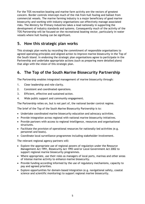For the TOS recreation boating and marine farm activity are the vectors of greatest concern. Border controls intercept much of the risk from hull fouling and ballast from commercial vessels. The marine farming industry is a major beneficiary of good marine biosecurity and working with industry organisations can effectively manage associated risks. The Ministry for Primary Industries takes a lead nationally in supporting the development of industry standards and systems. Consequently much of the activity of the TOS Partnership will be focused on the recreational boating vector, particularly in-water vessels where hull fouling can be significant.

## **5. How this strategic plan works**

This strategic plan works by recording the commitment of responsible organisations to agreed operating principles and aligned action to improve marine biosecurity in the Top of the South Island. In endorsing the strategic plan organisations agree to participate in the Partnership and undertake appropriate actions (such as preparing more detailed plans) that align with the vision of this strategic plan.

# **6. The Top of the South Marine Biosecurity Partnership**

The Partnership enables integrated management of marine biosecurity through:

- 1. Clear leadership and role clarity.
- 2. Consistent and coordinated operations.
- 3. Efficient, effective and sustained action.
- 4. Wide public support and community engagement.

The Partnership relies on, but is not part of, the national border control regime.

The brief of the Top of the South Marine Biosecurity Partnership is to:

- Undertake coordinated marine biosecurity education and advocacy activities.
- Provide integration across regional with national marine biosecurity initiatives.
- Provide partners with access to regional intelligence, resources and organisational structures.
- Facilitate the provision of operational resources for nationally-led activities (e.g. personnel and boats).
- Coordinate local surveillance programmes including stakeholder involvement.

The relevant regional agency partners will:

- Explore the appropriate use of regional powers of regulation under the Resource Management Act 1991, Biosecurity Act 1993 and/or Local Government Act 2002 to support regional marine biosecurity programmes.
- Where appropriate, use their roles as managers of local ports, marinas and other areas of intense marine activity to enhance marine biosecurity.
- Provide funding according informed by the use of regulatory mechanisms, capacity to pay and agreed priorities.
- Explore opportunities for domain-based integration (e.g. navigational safety, coastal science and scientific monitoring) to support regional marine biosecurity.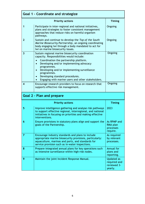| Goal 1 - Coordinate and strategize |                                                                                                                                                                                                                                                                                                                                                          |                                                      |  |  |  |
|------------------------------------|----------------------------------------------------------------------------------------------------------------------------------------------------------------------------------------------------------------------------------------------------------------------------------------------------------------------------------------------------------|------------------------------------------------------|--|--|--|
|                                    | <b>Timing</b>                                                                                                                                                                                                                                                                                                                                            |                                                      |  |  |  |
| $\mathbf 1$                        | Participate in inter-regional and national initiatives,<br>plans and strategies to foster consistent management<br>approaches that reduce risks on harmful organism<br>pathways.                                                                                                                                                                         | Ongoing                                              |  |  |  |
| $\mathbf{2}$                       | Sustain and continue to develop the Top of the South<br>Marine Biosecurity Partnership, an ongoing coordinating<br>body engaging Iwi through a body mandated to act for<br>Iwi on marine biosecurity issues.                                                                                                                                             | Ongoing                                              |  |  |  |
| 3                                  | Sustain regional marine biosecurity coordination<br>capacity. Responsibilities would include:<br>Coordination the partnership platform.<br>Developing and/or implementing advocacy<br>programmes.<br>Developing and/or implementing surveillance<br>programmes.<br>Developing standard procedures.<br>Engaging with marine users and other stakeholders. | Ongoing                                              |  |  |  |
| $\overline{\bf{4}}$                | Encourage research providers to focus on research that<br>supports effective risk management.                                                                                                                                                                                                                                                            | Ongoing                                              |  |  |  |
|                                    | <b>Goal 2 - Plan and prepare</b>                                                                                                                                                                                                                                                                                                                         |                                                      |  |  |  |
|                                    | <b>Timing</b>                                                                                                                                                                                                                                                                                                                                            |                                                      |  |  |  |
| 5                                  | Improve intelligence gathering and analyse risk pathways<br>to support effective regional, interregional, and national<br>initiatives in focusing on priorities and making effective<br>interventions.                                                                                                                                                   | 2023                                                 |  |  |  |
| 6                                  | Ensure provisions in statutory plans align and support the<br>goals of the Partnership.                                                                                                                                                                                                                                                                  | As RPMP and<br>RMA plan<br>processes<br>require.     |  |  |  |
| 7                                  | Encourage industry standards and plans to include<br>appropriate marine biosecurity provisions, particularly:<br>aquaculture, marinas and ports, and standards for<br>service provision such as in-water inspections.                                                                                                                                    | As required<br>by relevant<br>processes.             |  |  |  |
| 8                                  | Prepare integrated annual plans for key operations such<br>as intensive surveillance within high-risk nodes.                                                                                                                                                                                                                                             | Annual for<br>plans and<br>reporting.                |  |  |  |
| 9                                  | Maintain the joint Incident Response Manual.                                                                                                                                                                                                                                                                                                             | Updated as<br>required and<br>reviewed 3-<br>yearly. |  |  |  |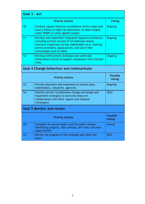| Goal 3 - Act                                   |                                                                                                                                                                                                                                                         |                |  |  |
|------------------------------------------------|---------------------------------------------------------------------------------------------------------------------------------------------------------------------------------------------------------------------------------------------------------|----------------|--|--|
|                                                | <b>Timing</b>                                                                                                                                                                                                                                           |                |  |  |
| 10                                             | Conduct regular intensive surveillance within nodes that<br>have a history of high-risk detections, to meet targets<br>under RPMPs or other agreed targets.                                                                                             | <b>Ongoing</b> |  |  |
| 11                                             | Develop and implement integrated regional surveillance<br>including summer surveys of recreational vessels,<br>structure inspections by key stakeholders (e.g. mooring<br>service providers, aquaculture), and use of new<br>technologies such as eDNA. | <b>Ongoing</b> |  |  |
| 12                                             | Develop enforcement strategies and undertake<br>enforcement action to support compliance with relevant<br>rules.                                                                                                                                        | <b>Ongoing</b> |  |  |
| <b>Goal 4 Change behaviour and communicate</b> |                                                                                                                                                                                                                                                         |                |  |  |
|                                                | <b>Possible</b><br>timing                                                                                                                                                                                                                               |                |  |  |
| 13                                             | Provide education and awareness to marine users,<br>stakeholders, industries, agencies.                                                                                                                                                                 | Ongoing        |  |  |
| 14                                             | Identify barriers to behaviour change and design and<br>implement strategies to overcome these (in<br>collaboration with other regions and national<br>campaigns).                                                                                      | 2023           |  |  |
| <b>Goal 5 Monitor and review</b>               |                                                                                                                                                                                                                                                         |                |  |  |
|                                                | <b>Possible</b><br>timing                                                                                                                                                                                                                               |                |  |  |
| 15                                             | Complete an annual report card for public release<br>identifying progress, risks averted, new risks, and new<br>opportunities.                                                                                                                          | Annual         |  |  |
| 13                                             | Review the progress of this strategic plan after ten<br>years.                                                                                                                                                                                          | 2031           |  |  |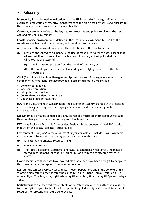# **7. Glossary**

**Biosecurity** is not defined in legislation, but the NZ Biosecurity Strategy defines it as the exclusion, eradication or effective management of the risks posed by pests and diseases to the economy, the environment and human health.

**Central government** refers to the legislature, executive and public service on the New Zealand national government.

**Coastal marine environment** is defined in the Resource Management Act 1991 as the foreshore, sea bed, and coastal water, and the air above the water:

- (a) of which the seaward boundary is the outer limits of the territorial sea
- (b) of which the landward boundary is the line of mean high-water springs, except that where that line crosses a river, the landward boundary at that point shall be whichever is the lesser of –
	- (i) one kilometre upstream from the mouth of the river; or
	- (ii) the point upstream that is calculated by multiplying the width of the river mouth by 5.

**CIMS (Coordinated Incident Management System)** is a set of management rules that is common to all emergency service providers. Basic principles in CIMS include:

- Common terminology
- Modular organisation
- Integrated communications
- Consolidated Incident Action Plans
- Designated incident facilities.

**DOC** is the Department of Conservation, the government agency charged with protecting and preserving native species, managing wild animals, and administering public conservation lands.

**Ecosystem** is a dynamic complex of plant, animal and micro-organism communities and their non-living environment interacting as a functional unit.

**EEZ** is the Exclusive Economic Zone of New Zealand. It lies between 12 and 200 nautical miles from the coast. (see also Territorial Sea).

**Environment** *as defined in the Resource Management Act1991* includes—(a) Ecosystems and their constituent parts, including people and communities; and

- (b) All natural and physical resources; and
- (c) Amenity values; and
- (d) The social, economic, aesthetic, and cultural conditions which affect the matters stated in paragraphs [\(a\) to \(c\)](http://www.legislation.govt.nz/act/public/1991/0069/latest/link.aspx?search=ts_act_resource+Management&id=DLM231134#DLM231134) of this definition or which are affected by those matters.

**Exotic** species are those that have evolved elsewhere and have been brought by people to this place or by natural spread from another location.

**Iwi** form the largest everyday social units in Māori populations and in the context of this strategic plan refer to the tangata whenua of Te Tau Ihu: Ngāti Tama, Ngāti Rārua, Te Atiawa, Ngati Toa Rangatira, Ngāti Kōata, Ngāti Kuia, Rangitāne and Ngāti Apa and to Ngai Tahu.

**Kaitiakitanga** is an inherited responsibility of tangata whenua to look after the mauri (life force) of ngā taonga tuku iho. It includes protecting biodiversity and the maintenance of resources for present and future generations.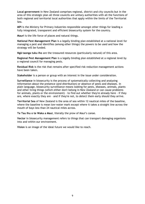**Local government** in New Zealand comprises regional, district and city councils but in the area of this strategic plan all three councils are unitary authorities with all the functions of both regional and territorial local authorities that apply within the limits of the Territorial Sea.

**MPI** is the Ministry for Primary Industries responsible amongst other things for leading a fully integrated, transparent and efficient biosecurity system for the country.

**Mauri** is the life force of places and natural things.

**National Pest Management Plan** is a legally binding plan established at a national level for managing a pest and identifies (among other things) the powers to be used and how the strategy will be funded.

**Ngā taonga tuku iho** are the treasured resources (particularly natural) of this area.

**Regional Pest Management Plan** is a legally binding plan established at a regional level by a regional council for managing pests.

**Residual Risk** is the risk that remains after specified risk reduction management actions have been taken.

**Stakeholder** is a person or group with an interest in the issue under consideration.

**Surveillance** in biosecurity is the process of systematically collecting and analysing information about the presence (and distribution) or absence of pests and diseases. In plain language, biosecurity surveillance means looking for pests, diseases, animals, plants and other living things (which either don't belong in New Zealand or can cause problems for animals, plants or the environment) – to find out whether they're already here - if they are, where exactly they are – and if they're not, to detect them early should they arrive.

**Territorial Sea** of New Zealand is the area of sea within 12 nautical miles of the baseline, where the baseline is mean low-water mark except where it takes a straight line across the mouth of bays less than 24 nautical miles across.

**Te Tau Ihu o te Waka a Maui**, literally the prow of Maui's canoe.

**Vector** in biosecurity management refers to things that can transport damaging organisms into and within our environment.

**Vision** is an image of the ideal future we would like to reach.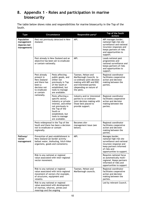# **8. Appendix 1 - Roles and participation in marine biosecurity**

The table below shows roles and responsibilities for marine biosecurity in the Top of the South.

| <b>Type</b>                                             |                                                                                                                                                            | Circumstance                                                                                                                                                                                     | Responsible party*                                                                                                                                                        | Top of the South<br><b>Actions</b>                                                                                                                                       |
|---------------------------------------------------------|------------------------------------------------------------------------------------------------------------------------------------------------------------|--------------------------------------------------------------------------------------------------------------------------------------------------------------------------------------------------|---------------------------------------------------------------------------------------------------------------------------------------------------------------------------|--------------------------------------------------------------------------------------------------------------------------------------------------------------------------|
| Population<br>management<br>(Species-led<br>management) | Pest not previously detected in New<br>Zealand.                                                                                                            |                                                                                                                                                                                                  | MPI.                                                                                                                                                                      | MPI manages border,<br>national high-risk site<br>surveillance and national<br>incursion responses and<br>keeps partners of risks<br>and opportunities to<br>support.    |
|                                                         | Pest already in New Zealand and an<br>objective has been set to eradicate<br>or contain nationally.                                                        |                                                                                                                                                                                                  | MPI.                                                                                                                                                                      | Leads national pest<br>programmes and<br>national surveillance and<br>keeps partners of risks<br>and opportunities to<br>support.                                        |
|                                                         | Pest already<br>present in<br>New Zealand<br>and there has<br>been a<br>decision not<br>to eradicate<br>or contain<br>nationally.                          | Pests affecting<br>public goods, and<br>either not<br>previously in Top<br>of the South or<br>established, but<br>tools to manage<br>are available.                                              | Tasman, Nelson and<br>Marlborough Councils to<br>co-ordinate joint decision<br>making with MPI and DOC<br>and interested parties<br>(depending on nature of<br>the pest). | Regional coordinator<br>facilitates cooperative<br>action and decision<br>making between the<br>parties.                                                                 |
|                                                         |                                                                                                                                                            | Pests affecting a<br>specific sector,<br>industry or private<br>interest, and either<br>not previously in<br>the Top of the<br>South or<br>established, but<br>tools to manage<br>are available. | Industry and/or interested<br>parties to co-ordinate<br>joint decision making with<br>those best placed to<br>provide support.                                            | Regional coordinator<br>facilitates cooperative<br>action and decision<br>making between the<br>parties.                                                                 |
|                                                         | Pests widespread in the Top of the<br>South and there has been a decision<br>not to eradicate or contain<br>regionally.                                    |                                                                                                                                                                                                  | Becomes site-<br>management issue (see<br>below).                                                                                                                         | Regional coordinator<br>facilitates cooperative<br>action and decision<br>making between the<br>parties.                                                                 |
| Pathway/<br>vector<br>management                        | Prevention of pest establishment in<br>New Zealand (at border activity -<br>ballast water, biofouling, hitch-hiker<br>organisms, goods and containers).    |                                                                                                                                                                                                  | MPI.                                                                                                                                                                      | Manages border,<br>national high-risk site<br>surveillance and national<br>incursion response and<br>keep partners informed<br>of risks and<br>opportunities to support. |
|                                                         | Risk to any national or regional<br>value associated with inter-regional<br>vector movement.                                                               |                                                                                                                                                                                                  |                                                                                                                                                                           | Requires national focus<br>as automatically multi-<br>regional. Keeps partners<br>informed of risks and<br>opportunities to support                                      |
|                                                         | Risk to any national or regional<br>value associated with intra-regional<br>movement of vectors (for example,<br>of structures, equipment and<br>vessels). |                                                                                                                                                                                                  | Tasman, Nelson and<br>Marlborough councils.                                                                                                                               | Regional coordinator<br>facilitates cooperative<br>action and decision<br>making between the<br>parties.                                                                 |
|                                                         | Risk to any national or regional<br>value associated with development<br>of marinas, wharves, jetties and<br>moorings and the ongoing                      |                                                                                                                                                                                                  |                                                                                                                                                                           | Led by relevant Council.                                                                                                                                                 |